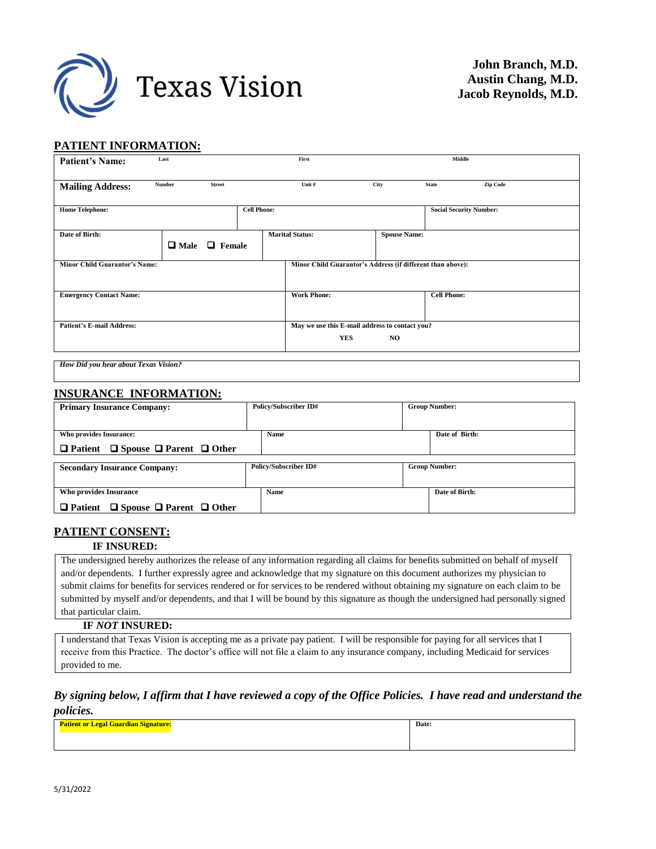

### **PATIENT INFORMATION:**

| <b>Patient's Name:</b>               | Last          |                           |                    | First                                                      |                     |                    | Middle                         |
|--------------------------------------|---------------|---------------------------|--------------------|------------------------------------------------------------|---------------------|--------------------|--------------------------------|
|                                      |               |                           |                    |                                                            |                     |                    |                                |
| <b>Mailing Address:</b>              | <b>Number</b> | <b>Street</b>             |                    | Unit #                                                     | <b>City</b>         | <b>State</b>       | Zip Code                       |
|                                      |               |                           | <b>Cell Phone:</b> |                                                            |                     |                    |                                |
| <b>Home Telephone:</b>               |               |                           |                    |                                                            |                     |                    | <b>Social Security Number:</b> |
| Date of Birth:                       |               |                           |                    | <b>Marital Status:</b>                                     | <b>Spouse Name:</b> |                    |                                |
|                                      |               | $\Box$ Male $\Box$ Female |                    |                                                            |                     |                    |                                |
|                                      |               |                           |                    |                                                            |                     |                    |                                |
| <b>Minor Child Guarantor's Name:</b> |               |                           |                    | Minor Child Guarantor's Address (if different than above): |                     |                    |                                |
|                                      |               |                           |                    |                                                            |                     |                    |                                |
| <b>Emergency Contact Name:</b>       |               |                           |                    | <b>Work Phone:</b>                                         |                     | <b>Cell Phone:</b> |                                |
|                                      |               |                           |                    |                                                            |                     |                    |                                |
| <b>Patient's E-mail Address:</b>     |               |                           |                    | May we use this E-mail address to contact you?             |                     |                    |                                |
|                                      |               |                           |                    |                                                            |                     |                    |                                |
|                                      |               |                           |                    | YES                                                        | NO.                 |                    |                                |
|                                      |               |                           |                    |                                                            |                     |                    |                                |

*How Did you hear about Texas Vision?*

#### **INSURANCE INFORMATION:**

| <b>Primary Insurance Company:</b>                       | Policy/Subscriber ID#        | <b>Group Number:</b> |  |
|---------------------------------------------------------|------------------------------|----------------------|--|
|                                                         |                              |                      |  |
| Who provides Insurance:                                 | Name                         | Date of Birth:       |  |
| $\Box$ Patient $\Box$ Spouse $\Box$ Parent $\Box$ Other |                              |                      |  |
|                                                         |                              |                      |  |
| <b>Secondary Insurance Company:</b>                     | <b>Policy/Subscriber ID#</b> | <b>Group Number:</b> |  |
|                                                         |                              |                      |  |
| Who provides Insurance                                  | Name                         | Date of Birth:       |  |
| $\Box$ Patient $\Box$ Spouse $\Box$ Parent $\Box$ Other |                              |                      |  |

#### **PATIENT CONSENT:**

#### **IF INSURED:**

The undersigned hereby authorizes the release of any information regarding all claims for benefits submitted on behalf of myself and/or dependents. I further expressly agree and acknowledge that my signature on this document authorizes my physician to submit claims for benefits for services rendered or for services to be rendered without obtaining my signature on each claim to be submitted by myself and/or dependents, and that I will be bound by this signature as though the undersigned had personally signed that particular claim.

#### **IF** *NOT* **INSURED:**

I understand that Texas Vision is accepting me as a private pay patient. I will be responsible for paying for all services that I receive from this Practice. The doctor's office will not file a claim to any insurance company, including Medicaid for services provided to me.

## *By signing below, I affirm that I have reviewed a copy of the Office Policies. I have read and understand the policies.*

| <b>Patient or Legal Guardian Signature:</b> | Date: |
|---------------------------------------------|-------|
|                                             |       |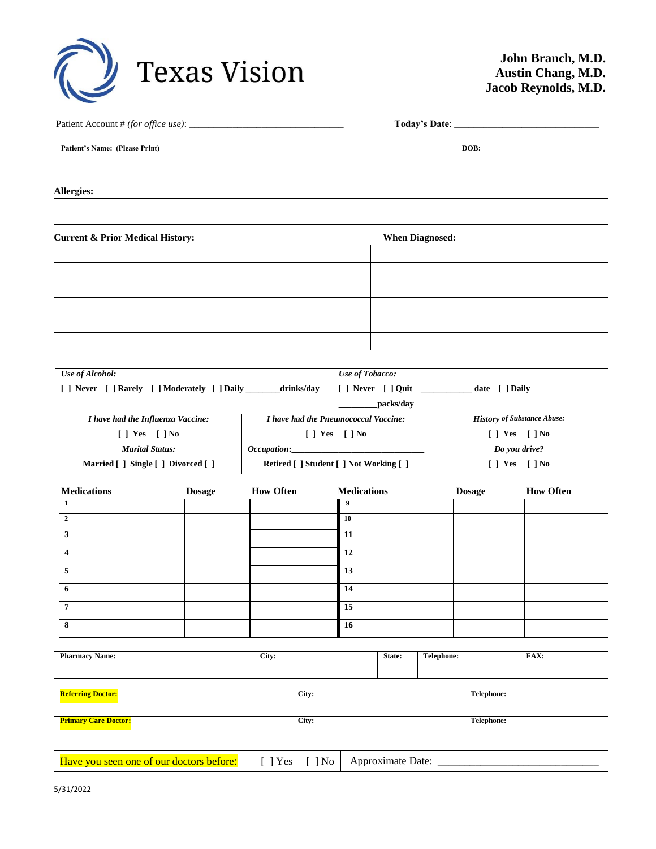

| Patient Account # (for office use): |  |
|-------------------------------------|--|
|                                     |  |

Patient Account # *(for office use)*: \_\_\_\_\_\_\_\_\_\_\_\_\_\_\_\_\_\_\_\_\_\_\_\_\_\_\_\_\_\_\_\_ **Today's Date**: \_\_\_\_\_\_\_\_\_\_\_\_\_\_\_\_\_\_\_\_\_\_\_\_\_\_\_\_\_\_

**Patient's Name: (Please Print) DOB:**

**Allergies:**

**Current & Prior Medical History: When Diagnosed:**

| Use of Alcohol:                                                   |  | Use of Tobacco:                             |                                    |  |
|-------------------------------------------------------------------|--|---------------------------------------------|------------------------------------|--|
| [ ] Never [ ] Rarely [ ] Moderately [ ] Daily ________ drinks/day |  | date [ ] Daily                              |                                    |  |
|                                                                   |  | packs/day                                   |                                    |  |
| I have had the Influenza Vaccine:                                 |  | <i>I have had the Pneumococcal Vaccine:</i> | <b>History of Substance Abuse:</b> |  |
| $\lceil$   Yes $\lceil$   No                                      |  | $\lceil$   Yes $\lceil$   No                | $\lceil$   Yes $\lceil$   No       |  |
| <b>Marital Status:</b><br><i>Occupation:</i>                      |  |                                             | Do you drive?                      |  |
| Married [] Single [] Divorced []                                  |  | Retired [ ] Student [ ] Not Working [ ]     | $\lceil$   Yes $\lceil$   No       |  |

| <b>Medications</b> | <b>Dosage</b> | <b>How Often</b> | <b>Medications</b> | <b>Dosage</b> | <b>How Often</b> |
|--------------------|---------------|------------------|--------------------|---------------|------------------|
|                    |               |                  | 9                  |               |                  |
| $\mathbf{2}$       |               |                  | 10                 |               |                  |
| 3                  |               |                  | 11                 |               |                  |
| 4                  |               |                  | 12                 |               |                  |
| 5                  |               |                  | 13                 |               |                  |
| 6                  |               |                  | 14                 |               |                  |
| 7                  |               |                  | 15                 |               |                  |
| 8                  |               |                  | 16                 |               |                  |

| <b>Pharmacy Name:</b>                    | City: |                    |                   | State: | Telephone: |                   | FAX: |
|------------------------------------------|-------|--------------------|-------------------|--------|------------|-------------------|------|
|                                          |       |                    |                   |        |            |                   |      |
|                                          |       |                    |                   |        |            |                   |      |
| <b>Referring Doctor:</b>                 |       | City:              |                   |        |            | Telephone:        |      |
| <b>Primary Care Doctor:</b>              |       | City:              |                   |        |            | <b>Telephone:</b> |      |
|                                          |       |                    |                   |        |            |                   |      |
| Have you seen one of our doctors before: |       | $[$ ] Yes $[$ ] No | Approximate Date: |        |            |                   |      |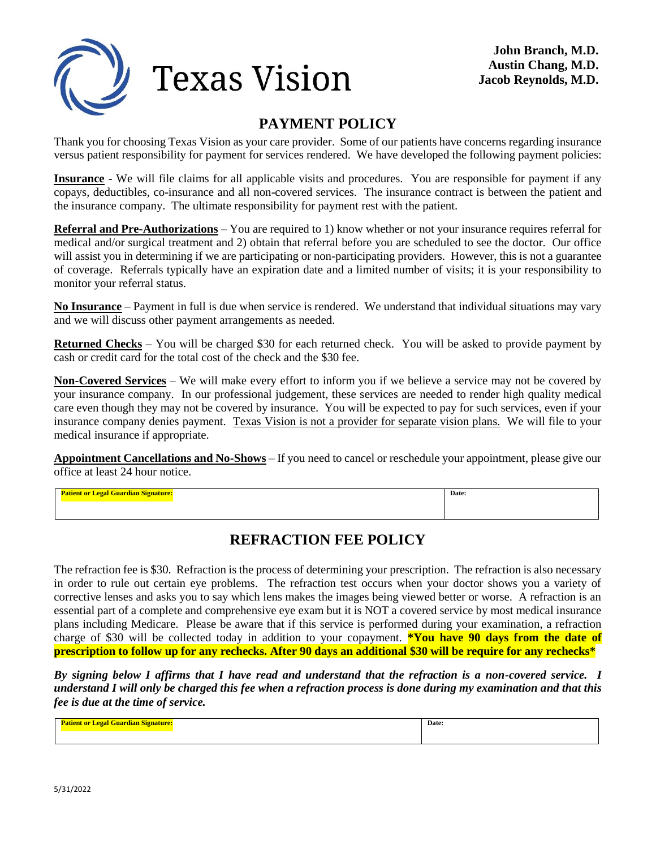

# **PAYMENT POLICY**

Thank you for choosing Texas Vision as your care provider. Some of our patients have concerns regarding insurance versus patient responsibility for payment for services rendered. We have developed the following payment policies:

**Insurance** - We will file claims for all applicable visits and procedures. You are responsible for payment if any copays, deductibles, co-insurance and all non-covered services. The insurance contract is between the patient and the insurance company. The ultimate responsibility for payment rest with the patient.

**Referral and Pre-Authorizations** – You are required to 1) know whether or not your insurance requires referral for medical and/or surgical treatment and 2) obtain that referral before you are scheduled to see the doctor. Our office will assist you in determining if we are participating or non-participating providers. However, this is not a guarantee of coverage. Referrals typically have an expiration date and a limited number of visits; it is your responsibility to monitor your referral status.

**No Insurance** – Payment in full is due when service is rendered. We understand that individual situations may vary and we will discuss other payment arrangements as needed.

**Returned Checks** – You will be charged \$30 for each returned check. You will be asked to provide payment by cash or credit card for the total cost of the check and the \$30 fee.

**Non-Covered Services** – We will make every effort to inform you if we believe a service may not be covered by your insurance company. In our professional judgement, these services are needed to render high quality medical care even though they may not be covered by insurance. You will be expected to pay for such services, even if your insurance company denies payment. Texas Vision is not a provider for separate vision plans. We will file to your medical insurance if appropriate.

**Appointment Cancellations and No-Shows** – If you need to cancel or reschedule your appointment, please give our office at least 24 hour notice.

**Patient or Legal Guardian Signature: Date:**

# **REFRACTION FEE POLICY**

The refraction fee is \$30. Refraction is the process of determining your prescription. The refraction is also necessary in order to rule out certain eye problems. The refraction test occurs when your doctor shows you a variety of corrective lenses and asks you to say which lens makes the images being viewed better or worse. A refraction is an essential part of a complete and comprehensive eye exam but it is NOT a covered service by most medical insurance plans including Medicare. Please be aware that if this service is performed during your examination, a refraction charge of \$30 will be collected today in addition to your copayment. **\*You have 90 days from the date of prescription to follow up for any rechecks. After 90 days an additional \$30 will be require for any rechecks\***

*By signing below I affirms that I have read and understand that the refraction is a non-covered service. I understand I will only be charged this fee when a refraction process is done during my examination and that this fee is due at the time of service.*

|  | Date: |
|--|-------|
|  |       |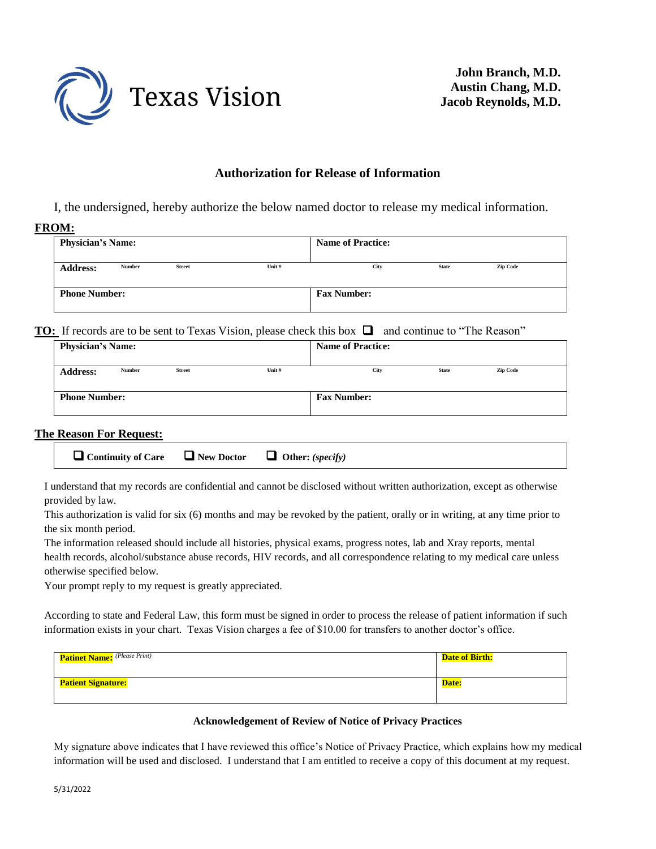

**John Branch, M.D. Austin Chang, M.D. Jacob Reynolds, M.D.**

### **Authorization for Release of Information**

I, the undersigned, hereby authorize the below named doctor to release my medical information.

#### **FROM:**

| <b>Physician's Name:</b> |               |               |        | <b>Name of Practice:</b> |              |                 |  |  |
|--------------------------|---------------|---------------|--------|--------------------------|--------------|-----------------|--|--|
| <b>Address:</b>          | <b>Number</b> | <b>Street</b> | Unit # | City                     | <b>State</b> | <b>Zip Code</b> |  |  |
| <b>Phone Number:</b>     |               |               |        | <b>Fax Number:</b>       |              |                 |  |  |

### **TO:** If records are to be sent to Texas Vision, please check this box  $\Box$  and continue to "The Reason"

| <b>Physician's Name:</b> |        |               |        | <b>Name of Practice:</b> |              |                 |
|--------------------------|--------|---------------|--------|--------------------------|--------------|-----------------|
| <b>Address:</b>          | Number | <b>Street</b> | Unit # | City                     | <b>State</b> | <b>Zip Code</b> |
| <b>Phone Number:</b>     |        |               |        | <b>Fax Number:</b>       |              |                 |

### **The Reason For Request:**

I understand that my records are confidential and cannot be disclosed without written authorization, except as otherwise provided by law.

This authorization is valid for six (6) months and may be revoked by the patient, orally or in writing, at any time prior to the six month period.

The information released should include all histories, physical exams, progress notes, lab and Xray reports, mental health records, alcohol/substance abuse records, HIV records, and all correspondence relating to my medical care unless otherwise specified below.

Your prompt reply to my request is greatly appreciated.

According to state and Federal Law, this form must be signed in order to process the release of patient information if such information exists in your chart. Texas Vision charges a fee of \$10.00 for transfers to another doctor's office.

| <b>Patinet Name:</b> (Please Print) | <b>Date of Birth:</b> |
|-------------------------------------|-----------------------|
| <b>Patient Signature:</b>           | Date:                 |

#### **Acknowledgement of Review of Notice of Privacy Practices**

My signature above indicates that I have reviewed this office's Notice of Privacy Practice, which explains how my medical information will be used and disclosed. I understand that I am entitled to receive a copy of this document at my request.